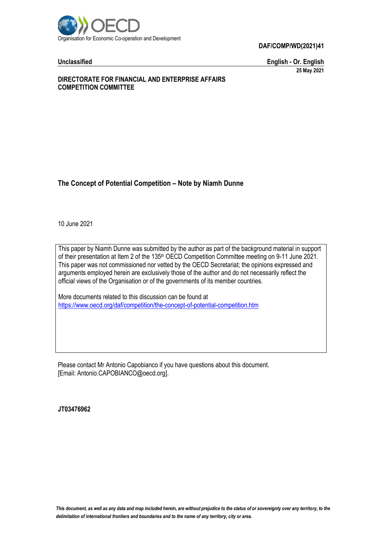

**Unclassified English - Or. English 25 May 2021**

### **DIRECTORATE FOR FINANCIAL AND ENTERPRISE AFFAIRS COMPETITION COMMITTEE**

## **The Concept of Potential Competition – Note by Niamh Dunne**

10 June 2021

This paper by Niamh Dunne was submitted by the author as part of the background material in support of their presentation at Item 2 of the 135<sup>th</sup> OECD Competition Committee meeting on 9-11 June 2021. This paper was not commissioned nor vetted by the OECD Secretariat; the opinions expressed and arguments employed herein are exclusively those of the author and do not necessarily reflect the official views of the Organisation or of the governments of its member countries.

More documents related to this discussion can be found at <https://www.oecd.org/daf/competition/the-concept-of-potential-competition.htm>

Please contact Mr Antonio Capobianco if you have questions about this document. [Email: Antonio.CAPOBIANCO@oecd.org].

**JT03476962**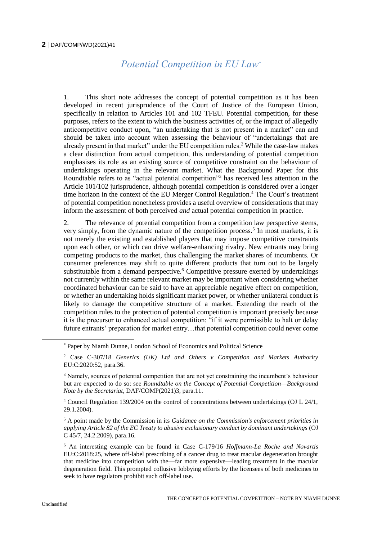# *Potential Competition in EU Law\**

1. This short note addresses the concept of potential competition as it has been developed in recent jurisprudence of the Court of Justice of the European Union, specifically in relation to Articles 101 and 102 TFEU. Potential competition, for these purposes, refers to the extent to which the business activities of, or the impact of allegedly anticompetitive conduct upon, "an undertaking that is not present in a market" can and should be taken into account when assessing the behaviour of "undertakings that are already present in that market" under the EU competition rules.<sup>2</sup> While the case-law makes a clear distinction from actual competition, this understanding of potential competition emphasises its role as an existing source of competitive constraint on the behaviour of undertakings operating in the relevant market. What the Background Paper for this Roundtable refers to as "actual potential competition"<sup>3</sup> has received less attention in the Article 101/102 jurisprudence, although potential competition is considered over a longer time horizon in the context of the EU Merger Control Regulation.<sup>4</sup> The Court's treatment of potential competition nonetheless provides a useful overview of considerations that may inform the assessment of both perceived *and* actual potential competition in practice.

2. The relevance of potential competition from a competition law perspective stems, very simply, from the dynamic nature of the competition process.<sup>5</sup> In most markets, it is not merely the existing and established players that may impose competitive constraints upon each other, or which can drive welfare-enhancing rivalry. New entrants may bring competing products to the market, thus challenging the market shares of incumbents. Or consumer preferences may shift to quite different products that turn out to be largely substitutable from a demand perspective.<sup>6</sup> Competitive pressure exerted by undertakings not currently within the same relevant market may be important when considering whether coordinated behaviour can be said to have an appreciable negative effect on competition, or whether an undertaking holds significant market power, or whether unilateral conduct is likely to damage the competitive structure of a market. Extending the reach of the competition rules to the protection of potential competition is important precisely because it is the precursor to enhanced actual competition: "if it were permissible to halt or delay future entrants' preparation for market entry…that potential competition could never come

<sup>\*</sup> Paper by Niamh Dunne, London School of Economics and Political Science

<sup>2</sup> Case C-307/18 *Generics (UK) Ltd and Others v Competition and Markets Authority* EU:C:2020:52, para.36.

<sup>3</sup> Namely, sources of potential competition that are not yet constraining the incumbent's behaviour but are expected to do so: see *Roundtable on the Concept of Potential Competition—Background Note by the Secretariat*, DAF/COMP(2021)3, para.11.

<sup>4</sup> Council Regulation 139/2004 on the control of concentrations between undertakings (OJ L 24/1, 29.1.2004).

<sup>5</sup> A point made by the Commission in its *Guidance on the Commission's enforcement priorities in applying Article 82 of the EC Treaty to abusive exclusionary conduct by dominant undertakings* (OJ C 45/7, 24.2.2009), para.16.

<sup>6</sup> An interesting example can be found in Case C-179/16 *Hoffmann-La Roche and Novartis* EU:C:2018:25, where off-label prescribing of a cancer drug to treat macular degeneration brought that medicine into competition with the—far more expensive—leading treatment in the macular degeneration field. This prompted collusive lobbying efforts by the licensees of both medicines to seek to have regulators prohibit such off-label use.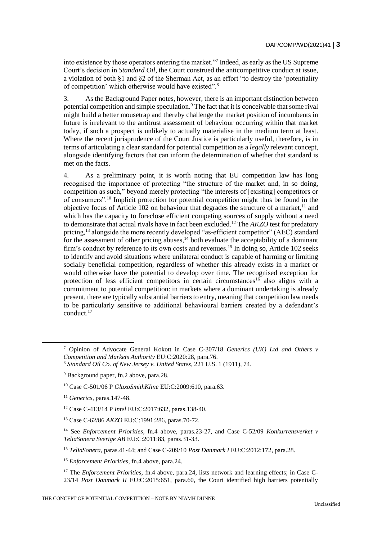into existence by those operators entering the market."<sup>7</sup> Indeed, as early as the US Supreme Court's decision in *Standard Oil*, the Court construed the anticompetitive conduct at issue, a violation of both §1 and §2 of the Sherman Act, as an effort "to destroy the 'potentiality of competition' which otherwise would have existed".<sup>8</sup>

3. As the Background Paper notes, however, there is an important distinction between potential competition and simple speculation.<sup>9</sup> The fact that it is conceivable that some rival might build a better mousetrap and thereby challenge the market position of incumbents in future is irrelevant to the antitrust assessment of behaviour occurring within that market today, if such a prospect is unlikely to actually materialise in the medium term at least. Where the recent jurisprudence of the Court Justice is particularly useful, therefore, is in terms of articulating a clear standard for potential competition as a *legally* relevant concept, alongside identifying factors that can inform the determination of whether that standard is met on the facts.

4. As a preliminary point, it is worth noting that EU competition law has long recognised the importance of protecting "the structure of the market and, in so doing, competition as such," beyond merely protecting "the interests of [existing] competitors or of consumers".<sup>10</sup> Implicit protection for potential competition might thus be found in the objective focus of Article  $102$  on behaviour that degrades the structure of a market,<sup>11</sup> and which has the capacity to foreclose efficient competing sources of supply without a need to demonstrate that actual rivals have in fact been excluded.<sup>12</sup> The *AKZO* test for predatory pricing,<sup>13</sup> alongside the more recently developed "as-efficient competitor" (AEC) standard for the assessment of other pricing abuses, $14$  both evaluate the acceptability of a dominant firm's conduct by reference to its own costs and revenues.<sup>15</sup> In doing so, Article 102 seeks to identify and avoid situations where unilateral conduct is capable of harming or limiting socially beneficial competition, regardless of whether this already exists in a market or would otherwise have the potential to develop over time. The recognised exception for protection of less efficient competitors in certain circumstances<sup>16</sup> also aligns with a commitment to potential competition: in markets where a dominant undertaking is already present, there are typically substantial barriers to entry, meaning that competition law needs to be particularly sensitive to additional behavioural barriers created by a defendant's conduct.<sup>17</sup>

<sup>15</sup> *TeliaSonera*, paras.41-44; and Case C-209/10 *Post Danmark I* EU:C:2012:172, para.28.

THE CONCEPT OF POTENTIAL COMPETITION – NOTE BY NIAMH DUNNE

<sup>7</sup> Opinion of Advocate General Kokott in Case C-307/18 *Generics (UK) Ltd and Others v Competition and Markets Authority* EU:C:2020:28, para.76.

<sup>8</sup> *Standard Oil Co. of New Jersey v. United States*, 221 U.S. 1 (1911), 74.

<sup>9</sup> Background paper, fn.2 above, para.28.

<sup>10</sup> Case C-501/06 P *GlaxoSmithKline* EU:C:2009:610, para.63.

<sup>11</sup> *Generics*, paras.147-48.

<sup>12</sup> Case C-413/14 P *Intel* EU:C:2017:632, paras.138-40.

<sup>13</sup> Case C-62/86 *AKZO* EU:C:1991:286, paras.70-72.

<sup>14</sup> See *Enforcement Priorities*, fn.4 above, paras.23-27, and Case C-52/09 *Konkurrensverket v TeliaSonera Sverige AB* EU:C:2011:83, paras.31-33.

<sup>16</sup> *Enforcement Priorities*, fn.4 above, para.24.

<sup>&</sup>lt;sup>17</sup> The *Enforcement Priorities*, fn.4 above, para.24, lists network and learning effects; in Case C-23/14 *Post Danmark II* EU:C:2015:651, para.60, the Court identified high barriers potentially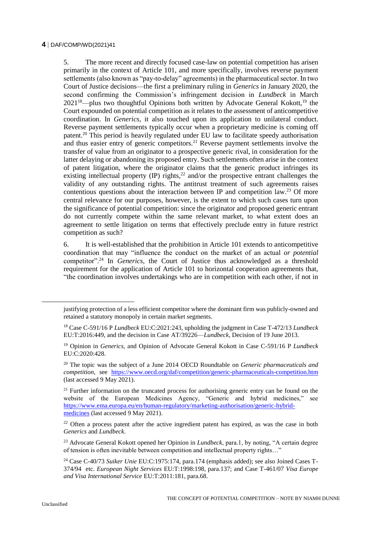5. The more recent and directly focused case-law on potential competition has arisen primarily in the context of Article 101, and more specifically, involves reverse payment settlements (also known as "pay-to-delay" agreements) in the pharmaceutical sector. In two Court of Justice decisions—the first a preliminary ruling in *Generics* in January 2020, the second confirming the Commission's infringement decision in *Lundbeck* in March  $2021^{18}$ —plus two thoughtful Opinions both written by Advocate General Kokott, <sup>19</sup> the Court expounded on potential competition as it relates to the assessment of anticompetitive coordination. In *Generics*, it also touched upon its application to unilateral conduct. Reverse payment settlements typically occur when a proprietary medicine is coming off patent.<sup>20</sup> This period is heavily regulated under EU law to facilitate speedy authorisation and thus easier entry of generic competitors.<sup>21</sup> Reverse payment settlements involve the transfer of value from an originator to a prospective generic rival, in consideration for the latter delaying or abandoning its proposed entry. Such settlements often arise in the context of patent litigation, where the originator claims that the generic product infringes its existing intellectual property  $(\mathbb{P})$  rights,<sup>22</sup> and/or the prospective entrant challenges the validity of any outstanding rights. The antitrust treatment of such agreements raises contentious questions about the interaction between IP and competition law.<sup>23</sup> Of more central relevance for our purposes, however, is the extent to which such cases turn upon the significance of potential competition: since the originator and proposed generic entrant do not currently compete within the same relevant market, to what extent does an agreement to settle litigation on terms that effectively preclude entry in future restrict competition as such?

6. It is well-established that the prohibition in Article 101 extends to anticompetitive coordination that may "influence the conduct on the market of an actual *or potential* competitor".<sup>24</sup> In *Generics*, the Court of Justice thus acknowledged as a threshold requirement for the application of Article 101 to horizontal cooperation agreements that, "the coordination involves undertakings who are in competition with each other, if not in

justifying protection of a less efficient competitor where the dominant firm was publicly-owned and retained a statutory monopoly in certain market segments.

<sup>18</sup> Case C-591/16 P *Lundbeck* EU:C:2021:243, upholding the judgment in Case T-472/13 *Lundbeck* EU:T:2016:449, and the decision in Case AT/39226—*Lundbeck*, Decision of 19 June 2013.

<sup>19</sup> Opinion in *Generics*, and Opinion of Advocate General Kokott in Case C-591/16 P *Lundbeck* EU:C:2020:428.

<sup>20</sup> The topic was the subject of a June 2014 OECD Roundtable on *Generic pharmaceuticals and competition*, see <https://www.oecd.org/daf/competition/generic-pharmaceuticals-competition.htm> (last accessed 9 May 2021).

<sup>&</sup>lt;sup>21</sup> Further information on the truncated process for authorising generic entry can be found on the website of the European Medicines Agency, "Generic and hybrid medicines," see [https://www.ema.europa.eu/en/human-regulatory/marketing-authorisation/generic-hybrid](https://www.ema.europa.eu/en/human-regulatory/marketing-authorisation/generic-hybrid-medicines)[medicines](https://www.ema.europa.eu/en/human-regulatory/marketing-authorisation/generic-hybrid-medicines) (last accessed 9 May 2021).

<sup>&</sup>lt;sup>22</sup> Often a process patent after the active ingredient patent has expired, as was the case in both *Generics* and *Lundbeck*.

<sup>23</sup> Advocate General Kokott opened her Opinion in *Lundbeck*, para.1, by noting, "A certain degree of tension is often inevitable between competition and intellectual property rights…"

<sup>24</sup> Case C-40/73 *Suiker Unie* EU:C:1975:174, para.174 (emphasis added); see also Joined Cases T-374/94 etc. *European Night Services* EU:T:1998:198, para.137; and Case T-461/07 *Visa Europe and Visa International Service* EU:T:2011:181, para.68.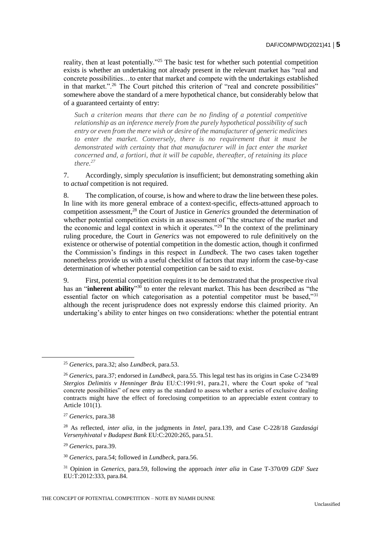reality, then at least potentially."<sup>25</sup> The basic test for whether such potential competition exists is whether an undertaking not already present in the relevant market has "real and concrete possibilities…to enter that market and compete with the undertakings established in that market.".<sup>26</sup> The Court pitched this criterion of "real and concrete possibilities" somewhere above the standard of a mere hypothetical chance, but considerably below that of a guaranteed certainty of entry:

*Such a criterion means that there can be no finding of a potential competitive relationship as an inference merely from the purely hypothetical possibility of such entry or even from the mere wish or desire of the manufacturer of generic medicines to enter the market. Conversely, there is no requirement that it must be demonstrated with certainty that that manufacturer will in fact enter the market concerned and, a fortiori, that it will be capable, thereafter, of retaining its place there.<sup>27</sup>*

7. Accordingly, simply *speculation* is insufficient; but demonstrating something akin to *actual* competition is not required.

8. The complication, of course, is how and where to draw the line between these poles. In line with its more general embrace of a context-specific, effects-attuned approach to competition assessment,<sup>28</sup> the Court of Justice in *Generics* grounded the determination of whether potential competition exists in an assessment of "the structure of the market and the economic and legal context in which it operates."<sup>29</sup> In the context of the preliminary ruling procedure, the Court in *Generics* was not empowered to rule definitively on the existence or otherwise of potential competition in the domestic action, though it confirmed the Commission's findings in this respect in *Lundbeck*. The two cases taken together nonetheless provide us with a useful checklist of factors that may inform the case-by-case determination of whether potential competition can be said to exist.

9. First, potential competition requires it to be demonstrated that the prospective rival has an "**inherent ability**" <sup>30</sup> to enter the relevant market. This has been described as "the essential factor on which categorisation as a potential competitor must be based,"<sup>31</sup> although the recent jurisprudence does not expressly endorse this claimed priority. An undertaking's ability to enter hinges on two considerations: whether the potential entrant

 $\overline{a}$ 

<sup>29</sup> *Generics*, para.39.

<sup>25</sup> *Generics*, para.32; also *Lundbeck*, para.53.

<sup>26</sup> *Generics*, para.37; endorsed in *Lundbeck*, para.55. This legal test has its origins in Case C-234/89 *Stergios Delimitis v Henninger Bräu* EU:C:1991:91, para.21, where the Court spoke of "real concrete possibilities" of new entry as the standard to assess whether a series of exclusive dealing contracts might have the effect of foreclosing competition to an appreciable extent contrary to Article 101(1).

<sup>27</sup> *Generics*, para.38

<sup>28</sup> As reflected, *inter alia*, in the judgments in *Intel*, para.139, and Case C-228/18 *Gazdasági Versenyhivatal v Budapest Bank* EU:C:2020:265, para.51.

<sup>30</sup> *Generics*, para.54; followed in *Lundbeck*, para.56.

<sup>31</sup> Opinion in *Generics*, para.59, following the approach *inter alia* in Case T-370/09 *GDF Suez* EU:T:2012:333, para.84.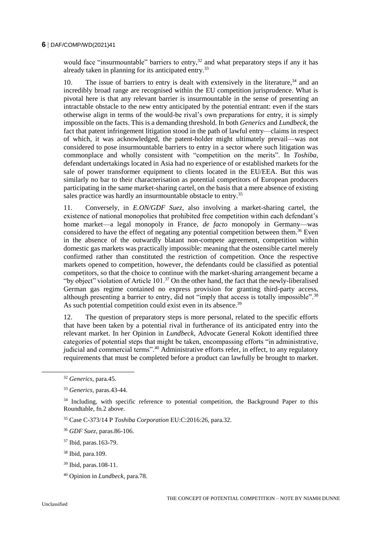would face "insurmountable" barriers to entry,<sup>32</sup> and what preparatory steps if any it has already taken in planning for its anticipated entry.<sup>33</sup>

10. The issue of barriers to entry is dealt with extensively in the literature,  $34$  and an incredibly broad range are recognised within the EU competition jurisprudence. What is pivotal here is that any relevant barrier is insurmountable in the sense of presenting an intractable obstacle to the new entry anticipated by the potential entrant: even if the stars otherwise align in terms of the would-be rival's own preparations for entry, it is simply impossible on the facts. This is a demanding threshold. In both *Generics* and *Lundbeck*, the fact that patent infringement litigation stood in the path of lawful entry—claims in respect of which, it was acknowledged, the patent-holder might ultimately prevail—was not considered to pose insurmountable barriers to entry in a sector where such litigation was commonplace and wholly consistent with "competition on the merits". In *Toshiba*, defendant undertakings located in Asia had no experience of or established markets for the sale of power transformer equipment to clients located in the EU/EEA. But this was similarly no bar to their characterisation as potential competitors of European producers participating in the same market-sharing cartel, on the basis that a mere absence of existing sales practice was hardly an insurmountable obstacle to entry.<sup>35</sup>

11. Conversely, in *E.ON/GDF Suez*, also involving a market-sharing cartel, the existence of national monopolies that prohibited free competition within each defendant's home market—a legal monopoly in France, *de facto* monopoly in Germany—was considered to have the effect of negating any potential competition between them.<sup>36</sup> Even in the absence of the outwardly blatant non-compete agreement, competition within domestic gas markets was practically impossible: meaning that the ostensible cartel merely confirmed rather than constituted the restriction of competition. Once the respective markets opened to competition, however, the defendants could be classified as potential competitors, so that the choice to continue with the market-sharing arrangement became a "by object" violation of Article  $101<sup>37</sup>$  On the other hand, the fact that the newly-liberalised German gas regime contained no express provision for granting third-party access, although presenting a barrier to entry, did not "imply that access is totally impossible".<sup>38</sup> As such potential competition could exist even in its absence.<sup>39</sup>

12. The question of preparatory steps is more personal, related to the specific efforts that have been taken by a potential rival in furtherance of its anticipated entry into the relevant market. In her Opinion in *Lundbeck*, Advocate General Kokott identified three categories of potential steps that might be taken, encompassing efforts "in administrative, judicial and commercial terms".<sup>40</sup> Administrative efforts refer, in effect, to any regulatory requirements that must be completed before a product can lawfully be brought to market.

<sup>32</sup> *Generics*, para.45.

<sup>33</sup> *Generics*, paras.43-44.

 $34$  Including, with specific reference to potential competition, the Background Paper to this Roundtable, fn.2 above.

<sup>35</sup> Case C-373/14 P *Toshiba Corporation* EU:C:2016:26, para.32.

<sup>36</sup> *GDF Suez*, paras.86-106.

<sup>37</sup> Ibid, paras.163-79.

<sup>38</sup> Ibid, para.109.

<sup>39</sup> Ibid, paras.108-11.

<sup>40</sup> Opinion in *Lundbeck*, para.78.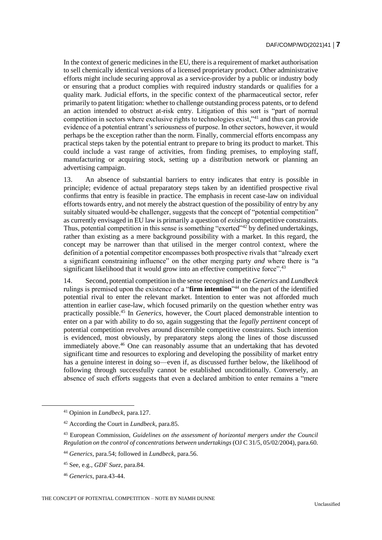In the context of generic medicines in the EU, there is a requirement of market authorisation to sell chemically identical versions of a licensed proprietary product. Other administrative efforts might include securing approval as a service-provider by a public or industry body or ensuring that a product complies with required industry standards or qualifies for a quality mark. Judicial efforts, in the specific context of the pharmaceutical sector, refer primarily to patent litigation: whether to challenge outstanding process patents, or to defend an action intended to obstruct at-risk entry. Litigation of this sort is "part of normal competition in sectors where exclusive rights to technologies exist,"<sup>41</sup> and thus can provide evidence of a potential entrant's seriousness of purpose. In other sectors, however, it would perhaps be the exception rather than the norm. Finally, commercial efforts encompass any practical steps taken by the potential entrant to prepare to bring its product to market. This could include a vast range of activities, from finding premises, to employing staff, manufacturing or acquiring stock, setting up a distribution network or planning an advertising campaign.

13. An absence of substantial barriers to entry indicates that entry is possible in principle; evidence of actual preparatory steps taken by an identified prospective rival confirms that entry is feasible in practice. The emphasis in recent case-law on individual efforts towards entry, and not merely the abstract question of the possibility of entry by any suitably situated would-be challenger, suggests that the concept of "potential competition" as currently envisaged in EU law is primarily a question of *existing* competitive constraints. Thus, potential competition in this sense is something "exerted"<sup>42</sup> by defined undertakings, rather than existing as a mere background possibility with a market. In this regard, the concept may be narrower than that utilised in the merger control context, where the definition of a potential competitor encompasses both prospective rivals that "already exert a significant constraining influence" on the other merging party *and* where there is "a significant likelihood that it would grow into an effective competitive force".<sup>43</sup>

14. Second, potential competition in the sense recognised in the *Generics* and *Lundbeck* rulings is premised upon the existence of a "**firm intention**" <sup>44</sup> on the part of the identified potential rival to enter the relevant market. Intention to enter was not afforded much attention in earlier case-law, which focused primarily on the question whether entry was practically possible.<sup>45</sup> In *Generics*, however, the Court placed demonstrable intention to enter on a par with ability to do so, again suggesting that the *legally pertinent* concept of potential competition revolves around discernible competitive constraints. Such intention is evidenced, most obviously, by preparatory steps along the lines of those discussed immediately above.<sup>46</sup> One can reasonably assume that an undertaking that has devoted significant time and resources to exploring and developing the possibility of market entry has a genuine interest in doing so—even if, as discussed further below, the likelihood of following through successfully cannot be established unconditionally. Conversely, an absence of such efforts suggests that even a declared ambition to enter remains a "mere

<sup>41</sup> Opinion in *Lundbeck*, para.127.

<sup>42</sup> According the Court in *Lundbeck*, para.85.

<sup>43</sup> European Commission, *Guidelines on the assessment of horizontal mergers under the Council Regulation on the control of concentrations between undertakings* (OJ C 31/5, 05/02/2004), para.60.

<sup>44</sup> *Generics*, para.54; followed in *Lundbeck*, para.56.

<sup>45</sup> See, e.g., *GDF Suez*, para.84.

<sup>46</sup> *Generics*, para.43-44.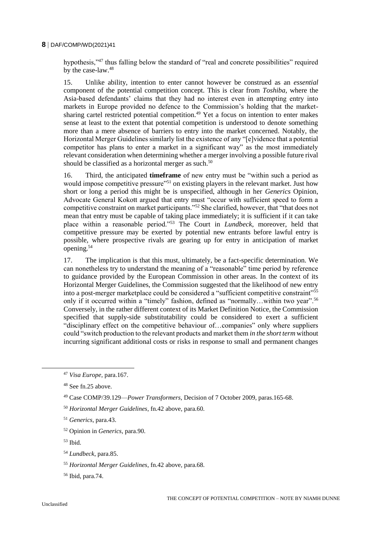hypothesis,"<sup>47</sup> thus falling below the standard of "real and concrete possibilities" required by the case-law.<sup>48</sup>

15. Unlike ability, intention to enter cannot however be construed as an *essential* component of the potential competition concept. This is clear from *Toshiba*, where the Asia-based defendants' claims that they had no interest even in attempting entry into markets in Europe provided no defence to the Commission's holding that the marketsharing cartel restricted potential competition.<sup>49</sup> Yet a focus on intention to enter makes sense at least to the extent that potential competition is understood to denote something more than a mere absence of barriers to entry into the market concerned. Notably, the Horizontal Merger Guidelines similarly list the existence of any "[e]vidence that a potential competitor has plans to enter a market in a significant way" as the most immediately relevant consideration when determining whether a merger involving a possible future rival should be classified as a horizontal merger as such.<sup>50</sup>

16. Third, the anticipated **timeframe** of new entry must be "within such a period as would impose competitive pressure"<sup>51</sup> on existing players in the relevant market. Just how short or long a period this might be is unspecified, although in her *Generics* Opinion, Advocate General Kokott argued that entry must "occur with sufficient speed to form a competitive constraint on market participants."<sup>52</sup> She clarified, however, that "that does not mean that entry must be capable of taking place immediately; it is sufficient if it can take place within a reasonable period."<sup>53</sup> The Court in *Lundbeck*, moreover, held that competitive pressure may be exerted by potential new entrants before lawful entry is possible, where prospective rivals are gearing up for entry in anticipation of market opening.<sup>54</sup>

17. The implication is that this must, ultimately, be a fact-specific determination. We can nonetheless try to understand the meaning of a "reasonable" time period by reference to guidance provided by the European Commission in other areas. In the context of its Horizontal Merger Guidelines, the Commission suggested that the likelihood of new entry into a post-merger marketplace could be considered a "sufficient competitive constraint"<sup>55</sup> only if it occurred within a "timely" fashion, defined as "normally…within two year".<sup>56</sup> Conversely, in the rather different context of its Market Definition Notice, the Commission specified that supply-side substitutability could be considered to exert a sufficient "disciplinary effect on the competitive behaviour of…companies" only where suppliers could "switch production to the relevant products and market them *in the short term* without incurring significant additional costs or risks in response to small and permanent changes

- <sup>53</sup> Ibid.
- <sup>54</sup> *Lundbeck*, para.85.
- <sup>55</sup> *Horizontal Merger Guidelines*, fn.42 above, para.68.
- <sup>56</sup> Ibid, para.74.

<sup>47</sup> *Visa Europe*, para.167.

<sup>48</sup> See fn.25 above.

<sup>49</sup> Case COMP/39.129—*Power Transformers*, Decision of 7 October 2009, paras.165-68.

<sup>50</sup> *Horizontal Merger Guidelines*, fn.42 above, para.60.

<sup>51</sup> *Generics*, para.43.

<sup>52</sup> Opinion in *Generics*, para.90.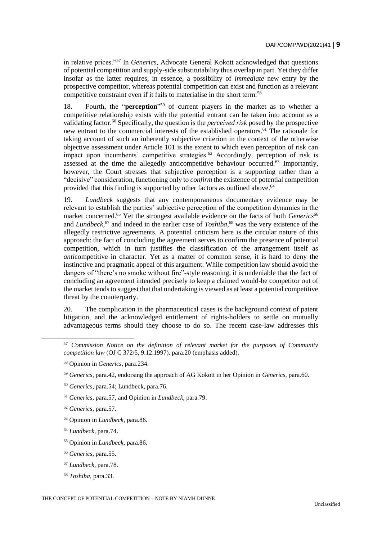in relative prices."<sup>57</sup> In *Generics*, Advocate General Kokott acknowledged that questions of potential competition and supply-side substitutability thus overlap in part. Yet they differ insofar as the latter requires, in essence, a possibility of *immediate* new entry by the prospective competitor, whereas potential competition can exist and function as a relevant competitive constraint even if it fails to materialise in the short term.<sup>58</sup>

18. Fourth, the "**perception**" <sup>59</sup> of current players in the market as to whether a competitive relationship exists with the potential entrant can be taken into account as a validating factor.<sup>60</sup> Specifically, the question is the *perceived risk* posed by the prospective new entrant to the commercial interests of the established operators.<sup>61</sup> The rationale for taking account of such an inherently subjective criterion in the context of the otherwise objective assessment under Article 101 is the extent to which even perception of risk can impact upon incumbents' competitive strategies.<sup>62</sup> Accordingly, perception of risk is assessed at the time the allegedly anticompetitive behaviour occurred.<sup>63</sup> Importantly, however, the Court stresses that subjective perception is a supporting rather than a "decisive" consideration, functioning only to *confirm* the existence of potential competition provided that this finding is supported by other factors as outlined above.<sup>64</sup>

19. *Lundbeck* suggests that any contemporaneous documentary evidence may be relevant to establish the parties' subjective perception of the competition dynamics in the market concerned.<sup>65</sup> Yet the strongest available evidence on the facts of both *Generics*<sup>66</sup> and *Lundbeck*, <sup>67</sup> and indeed in the earlier case of *Toshiba*, <sup>68</sup> was the very existence of the allegedly restrictive agreements. A potential criticism here is the circular nature of this approach: the fact of concluding the agreement serves to confirm the presence of potential competition, which in turn justifies the classification of the arrangement itself as *anti*competitive in character. Yet as a matter of common sense, it is hard to deny the instinctive and pragmatic appeal of this argument. While competition law should avoid the dangers of "there's no smoke without fire"-style reasoning, it is undeniable that the fact of concluding an agreement intended precisely to keep a claimed would-be competitor out of the market tends to suggest that that undertaking is viewed as at least a potential competitive threat by the counterparty.

20. The complication in the pharmaceutical cases is the background context of patent litigation, and the acknowledged entitlement of rights-holders to settle on mutually advantageous terms should they choose to do so. The recent case-law addresses this

- <sup>61</sup> *Generics*, para.57, and Opinion in *Lundbeck*, para.79.
- <sup>62</sup> *Generics*, para.57.

 $\overline{a}$ 

- <sup>63</sup> Opinion in *Lundbeck*, para.86.
- <sup>64</sup> *Lundbeck*, para.74.
- <sup>65</sup> Opinion in *Lundbeck*, para.86.
- <sup>66</sup> *Generics*, para.55.
- <sup>67</sup> *Lundbeck*, para.78.
- <sup>68</sup> *Toshiba*, para.33.

<sup>57</sup> *Commission Notice on the definition of relevant market for the purposes of Community competition law* (OJ C 372/5, 9.12.1997), para.20 (emphasis added).

<sup>58</sup> Opinion in *Generics*, para.234.

<sup>59</sup> *Generics*, para.42, endorsing the approach of AG Kokott in her Opinion in *Generics*, para.60.

<sup>60</sup> *Generics*, para.54; Lundbeck, para.76.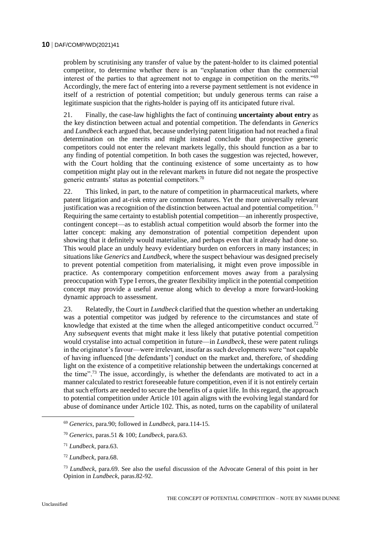problem by scrutinising any transfer of value by the patent-holder to its claimed potential competitor, to determine whether there is an "explanation other than the commercial interest of the parties to that agreement not to engage in competition on the merits."<sup>69</sup> Accordingly, the mere fact of entering into a reverse payment settlement is not evidence in itself of a restriction of potential competition; but unduly generous terms can raise a legitimate suspicion that the rights-holder is paying off its anticipated future rival.

21. Finally, the case-law highlights the fact of continuing **uncertainty about entry** as the key distinction between actual and potential competition. The defendants in *Generics* and *Lundbeck* each argued that, because underlying patent litigation had not reached a final determination on the merits and might instead conclude that prospective generic competitors could not enter the relevant markets legally, this should function as a bar to any finding of potential competition. In both cases the suggestion was rejected, however, with the Court holding that the continuing existence of some uncertainty as to how competition might play out in the relevant markets in future did not negate the prospective generic entrants' status as potential competitors.<sup>70</sup>

22. This linked, in part, to the nature of competition in pharmaceutical markets, where patent litigation and at-risk entry are common features. Yet the more universally relevant justification was a recognition of the distinction between actual and potential competition.<sup>71</sup> Requiring the same certainty to establish potential competition—an inherently prospective, contingent concept—as to establish actual competition would absorb the former into the latter concept: making any demonstration of potential competition dependent upon showing that it definitely would materialise, and perhaps even that it already had done so. This would place an unduly heavy evidentiary burden on enforcers in many instances; in situations like *Generics* and *Lundbeck*, where the suspect behaviour was designed precisely to prevent potential competition from materialising, it might even prove impossible in practice. As contemporary competition enforcement moves away from a paralysing preoccupation with Type I errors, the greater flexibility implicit in the potential competition concept may provide a useful avenue along which to develop a more forward-looking dynamic approach to assessment.

23. Relatedly, the Court in *Lundbeck* clarified that the question whether an undertaking was a potential competitor was judged by reference to the circumstances and state of knowledge that existed at the time when the alleged anticompetitive conduct occurred.<sup>72</sup> Any *subsequent* events that might make it less likely that putative potential competition would crystalise into actual competition in future—in *Lundbeck*, these were patent rulings in the originator's favour—were irrelevant, insofar as such developments were "not capable of having influenced [the defendants'] conduct on the market and, therefore, of shedding light on the existence of a competitive relationship between the undertakings concerned at the time".<sup>73</sup> The issue, accordingly, is whether the defendants are motivated to act in a manner calculated to restrict foreseeable future competition, even if it is not entirely certain that such efforts are needed to secure the benefits of a quiet life. In this regard, the approach to potential competition under Article 101 again aligns with the evolving legal standard for abuse of dominance under Article 102. This, as noted, turns on the capability of unilateral

 $\overline{a}$ 

<sup>69</sup> *Generics*, para.90; followed in *Lundbeck*, para.114-15.

<sup>70</sup> *Generics*, paras.51 & 100; *Lundbeck*, para.63.

<sup>71</sup> *Lundbeck*, para.63.

<sup>72</sup> *Lundbeck*, para.68.

<sup>73</sup> *Lundbeck*, para.69. See also the useful discussion of the Advocate General of this point in her Opinion in *Lundbeck*, paras.82-92.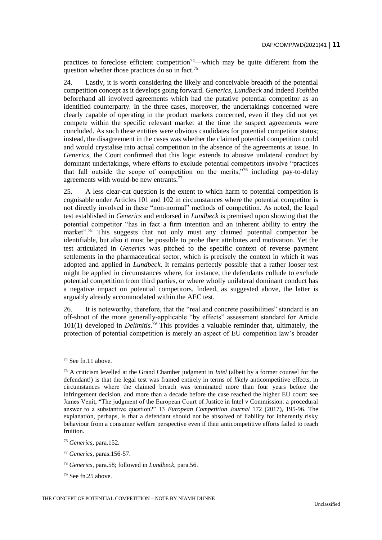practices to foreclose efficient competition<sup>74</sup>—which may be quite different from the question whether those practices do so in fact.<sup>75</sup>

24. Lastly, it is worth considering the likely and conceivable breadth of the potential competition concept as it develops going forward. *Generics*, *Lundbeck* and indeed *Toshiba* beforehand all involved agreements which had the putative potential competitor as an identified counterparty. In the three cases, moreover, the undertakings concerned were clearly capable of operating in the product markets concerned, even if they did not yet compete within the specific relevant market at the time the suspect agreements were concluded. As such these entities were obvious candidates for potential competitor status; instead, the disagreement in the cases was whether the claimed potential competition could and would crystalise into actual competition in the absence of the agreements at issue. In *Generics*, the Court confirmed that this logic extends to abusive unilateral conduct by dominant undertakings, where efforts to exclude potential competitors involve "practices that fall outside the scope of competition on the merits, $\dot{m}$  including pay-to-delay agreements with would-be new entrants.<sup>77</sup>

25. A less clear-cut question is the extent to which harm to potential competition is cognisable under Articles 101 and 102 in circumstances where the potential competitor is not directly involved in these "non-normal" methods of competition. As noted, the legal test established in *Generics* and endorsed in *Lundbeck* is premised upon showing that the potential competitor "has in fact a firm intention and an inherent ability to entry the market".<sup>78</sup> This suggests that not only must any claimed potential competitor be identifiable, but also it must be possible to probe their attributes and motivation. Yet the test articulated in *Generics* was pitched to the specific context of reverse payment settlements in the pharmaceutical sector, which is precisely the context in which it was adopted and applied in *Lundbeck*. It remains perfectly possible that a rather looser test might be applied in circumstances where, for instance, the defendants collude to exclude potential competition from third parties, or where wholly unilateral dominant conduct has a negative impact on potential competitors. Indeed, as suggested above, the latter is arguably already accommodated within the AEC test.

26. It is noteworthy, therefore, that the "real and concrete possibilities" standard is an off-shoot of the more generally-applicable "by effects" assessment standard for Article 101(1) developed in *Delimitis*. <sup>79</sup> This provides a valuable reminder that, ultimately, the protection of potential competition is merely an aspect of EU competition law's broader

 $74$  See fn.11 above.

<sup>75</sup> A criticism levelled at the Grand Chamber judgment in *Intel* (albeit by a former counsel for the defendant!) is that the legal test was framed entirely in terms of *likely* anticompetitive effects, in circumstances where the claimed breach was terminated more than four years before the infringement decision, and more than a decade before the case reached the higher EU court: see James Venit, "The judgment of the European Court of Justice in Intel v Commission: a procedural answer to a substantive question?" 13 *European Competition Journal* 172 (2017), 195-96. The explanation, perhaps, is that a defendant should not be absolved of liability for inherently risky behaviour from a consumer welfare perspective even if their anticompetitive efforts failed to reach fruition.

<sup>76</sup> *Generics*, para.152.

<sup>77</sup> *Generics*, paras.156-57.

<sup>78</sup> *Generics*, para.58; followed in *Lundbeck*, para.56.

<sup>79</sup> See fn.25 above.